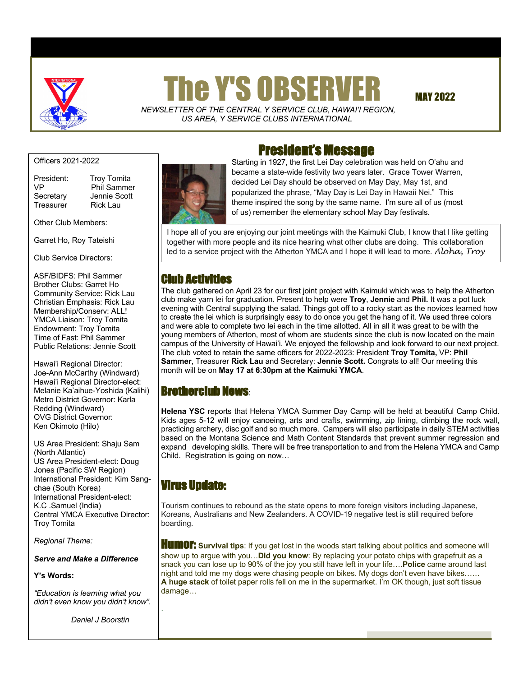

# $\Gamma$  The Y'S OBSERVER MAY 2022

 *NEWSLETTER OF THE CENTRAL Y SERVICE CLUB*, *HAWAI'I REGION, US AREA, Y SERVICE CLUBS INTERNATIONAL*

Officers 2021-2022

Treasurer Rick Lau

President: Troy Tomita VP Phil Sammer Secretary Jennie Scott

Other Club Members:

Garret Ho, Roy Tateishi

Club Service Directors:

ASF/BIDFS: Phil Sammer Brother Clubs: Garret Ho Community Service: Rick Lau Christian Emphasis: Rick Lau Membership/Conserv: ALL! YMCA Liaison: Troy Tomita Endowment: Troy Tomita Time of Fast: Phil Sammer Public Relations: Jennie Scott

Hawai'i Regional Director: Joe-Ann McCarthy (Windward) Hawai'i Regional Director-elect: Melanie Ka'aihue-Yoshida (Kalihi) Metro District Governor: Karla Redding (Windward) OVG District Governor: Ken Okimoto (Hilo)

US Area President: Shaju Sam (North Atlantic) US Area President-elect: Doug Jones (Pacific SW Region) International President: Kim Sangchae (South Korea) International President-elect: K.C .Samuel (India) Central YMCA Executive Director: Troy Tomita

*Regional Theme:* 

*Serve and Make a Difference*

#### **Y's Words:**

 *didn't even know you didn't know". "Education is learning what you* 

 *Daniel J Boorstin*



## President's Message

Starting in 1927, the first Lei Day celebration was held on O'ahu and became a state-wide festivity two years later. Grace Tower Warren, decided Lei Day should be observed on May Day, May 1st, and popularized the phrase, "May Day is Lei Day in Hawaii Nei." This theme inspired the song by the same name. I'm sure all of us (most of us) remember the elementary school May Day festivals.

I hope all of you are enjoying our joint meetings with the Kaimuki Club, I know that I like getting together with more people and its nice hearing what other clubs are doing. This collaboration led to a service project with the Atherton YMCA and I hope it will lead to more. *Aloha, Troy*

## Club Activities

The club gathered on April 23 for our first joint project with Kaimuki which was to help the Atherton club make yarn lei for graduation. Present to help were **Troy**, **Jennie** and **Phil.** It was a pot luck evening with Central supplying the salad. Things got off to a rocky start as the novices learned how to create the lei which is surprisingly easy to do once you get the hang of it. We used three colors and were able to complete two lei each in the time allotted. All in all it was great to be with the young members of Atherton, most of whom are students since the club is now located on the main campus of the University of Hawai'i. We enjoyed the fellowship and look forward to our next project. The club voted to retain the same officers for 2022-2023: President **Troy Tomita,** VP: **Phil Sammer**, Treasurer **Rick Lau** and Secretary: **Jennie Scott.** Congrats to all! Our meeting this month will be on **May 17 at 6:30pm at the Kaimuki YMCA**.

## Brotherclub News:

**Helena YSC** reports that Helena YMCA Summer Day Camp will be held at beautiful Camp Child. Kids ages 5-12 will enjoy canoeing, arts and crafts, swimming, zip lining, climbing the rock wall, practicing archery, disc golf and so much more. Campers will also participate in daily STEM activities based on the Montana Science and Math Content Standards that prevent summer regression and expand developing skills. There will be free transportation to and from the Helena YMCA and Camp Child. Registration is going on now…

### Virus Update:

.

Tourism continues to rebound as the state opens to more foreign visitors including Japanese, Koreans, Australians and New Zealanders. A COVID-19 negative test is still required before boarding.

**HUMOF:** Survival tips: If you get lost in the woods start talking about politics and someone will show up to argue with you…**Did you know**: By replacing your potato chips with grapefruit as a snack you can lose up to 90% of the joy you still have left in your life….**Police** came around last night and told me my dogs were chasing people on bikes. My dogs don't even have bikes…… **A huge stack** of toilet paper rolls fell on me in the supermarket. I'm OK though, just soft tissue damage...